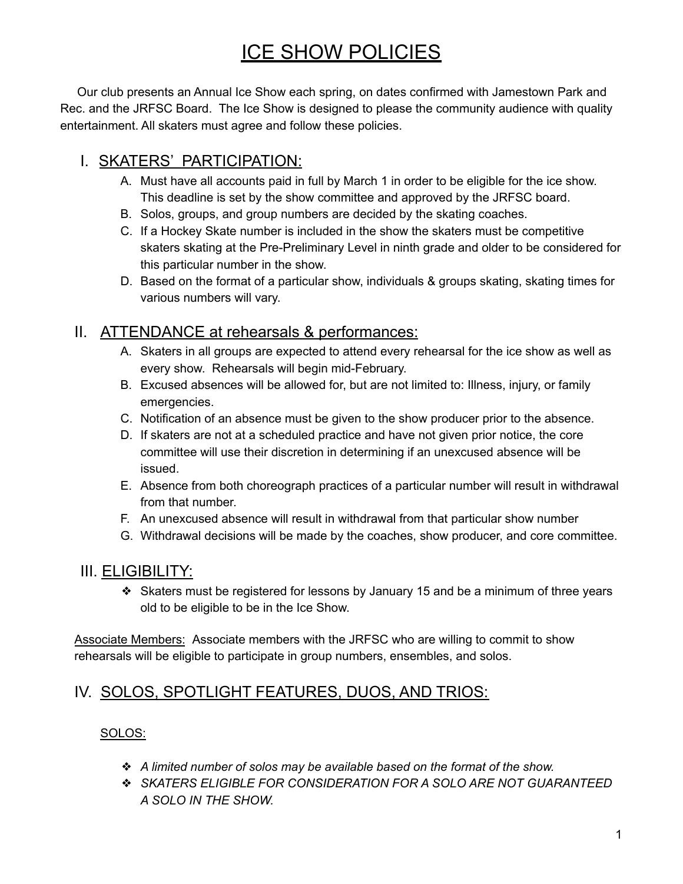# ICE SHOW POLICIES

Our club presents an Annual Ice Show each spring, on dates confirmed with Jamestown Park and Rec. and the JRFSC Board. The Ice Show is designed to please the community audience with quality entertainment. All skaters must agree and follow these policies.

# I. SKATERS' PARTICIPATION:

- A. Must have all accounts paid in full by March 1 in order to be eligible for the ice show. This deadline is set by the show committee and approved by the JRFSC board.
- B. Solos, groups, and group numbers are decided by the skating coaches.
- C. If a Hockey Skate number is included in the show the skaters must be competitive skaters skating at the Pre-Preliminary Level in ninth grade and older to be considered for this particular number in the show.
- D. Based on the format of a particular show, individuals & groups skating, skating times for various numbers will vary.

## II. ATTENDANCE at rehearsals & performances:

- A. Skaters in all groups are expected to attend every rehearsal for the ice show as well as every show. Rehearsals will begin mid-February.
- B. Excused absences will be allowed for, but are not limited to: Illness, injury, or family emergencies.
- C. Notification of an absence must be given to the show producer prior to the absence.
- D. If skaters are not at a scheduled practice and have not given prior notice, the core committee will use their discretion in determining if an unexcused absence will be issued.
- E. Absence from both choreograph practices of a particular number will result in withdrawal from that number.
- F. An unexcused absence will result in withdrawal from that particular show number
- G. Withdrawal decisions will be made by the coaches, show producer, and core committee.

## III. ELIGIBILITY:

❖ Skaters must be registered for lessons by January 15 and be a minimum of three years old to be eligible to be in the Ice Show.

Associate Members: Associate members with the JRFSC who are willing to commit to show rehearsals will be eligible to participate in group numbers, ensembles, and solos.

## IV. SOLOS, SPOTLIGHT FEATURES, DUOS, AND TRIOS:

#### SOLOS:

- ❖ *A limited number of solos may be available based on the format of the show.*
- ❖ *SKATERS ELIGIBLE FOR CONSIDERATION FOR A SOLO ARE NOT GUARANTEED A SOLO IN THE SHOW.*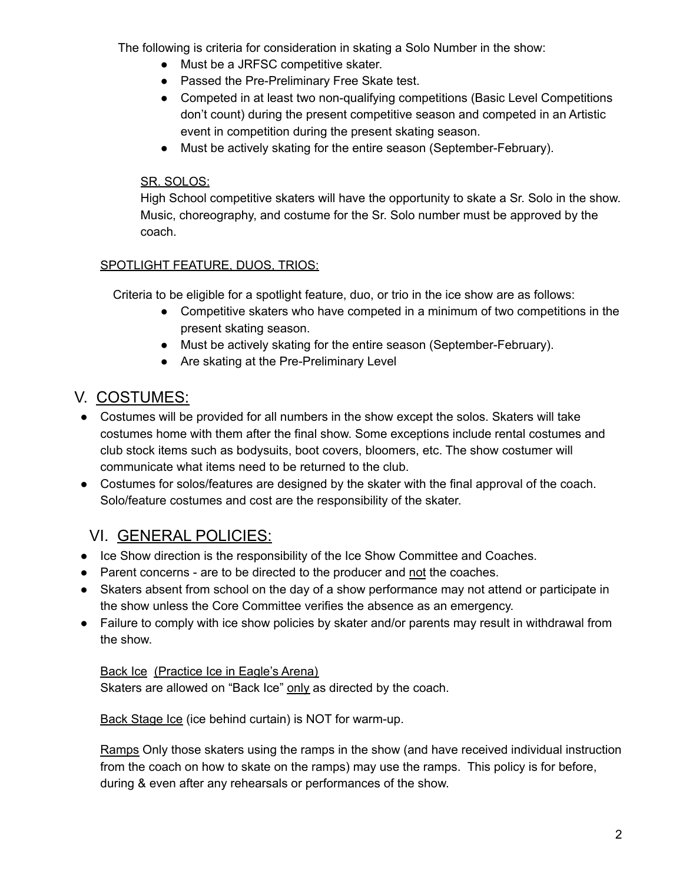The following is criteria for consideration in skating a Solo Number in the show:

- Must be a JRFSC competitive skater.
- Passed the Pre-Preliminary Free Skate test.
- Competed in at least two non-qualifying competitions (Basic Level Competitions don't count) during the present competitive season and competed in an Artistic event in competition during the present skating season.
- Must be actively skating for the entire season (September-February).

#### SR. SOLOS:

High School competitive skaters will have the opportunity to skate a Sr. Solo in the show. Music, choreography, and costume for the Sr. Solo number must be approved by the coach.

#### SPOTLIGHT FEATURE, DUOS, TRIOS:

Criteria to be eligible for a spotlight feature, duo, or trio in the ice show are as follows:

- Competitive skaters who have competed in a minimum of two competitions in the present skating season.
- Must be actively skating for the entire season (September-February).
- Are skating at the Pre-Preliminary Level

# V. COSTUMES:

- Costumes will be provided for all numbers in the show except the solos. Skaters will take costumes home with them after the final show. Some exceptions include rental costumes and club stock items such as bodysuits, boot covers, bloomers, etc. The show costumer will communicate what items need to be returned to the club.
- Costumes for solos/features are designed by the skater with the final approval of the coach. Solo/feature costumes and cost are the responsibility of the skater.

# VI. GENERAL POLICIES:

- Ice Show direction is the responsibility of the Ice Show Committee and Coaches.
- Parent concerns are to be directed to the producer and not the coaches.
- Skaters absent from school on the day of a show performance may not attend or participate in the show unless the Core Committee verifies the absence as an emergency.
- Failure to comply with ice show policies by skater and/or parents may result in withdrawal from the show.

#### Back Ice (Practice Ice in Eagle's Arena)

Skaters are allowed on "Back Ice" only as directed by the coach.

Back Stage Ice (ice behind curtain) is NOT for warm-up.

Ramps Only those skaters using the ramps in the show (and have received individual instruction from the coach on how to skate on the ramps) may use the ramps. This policy is for before, during & even after any rehearsals or performances of the show.